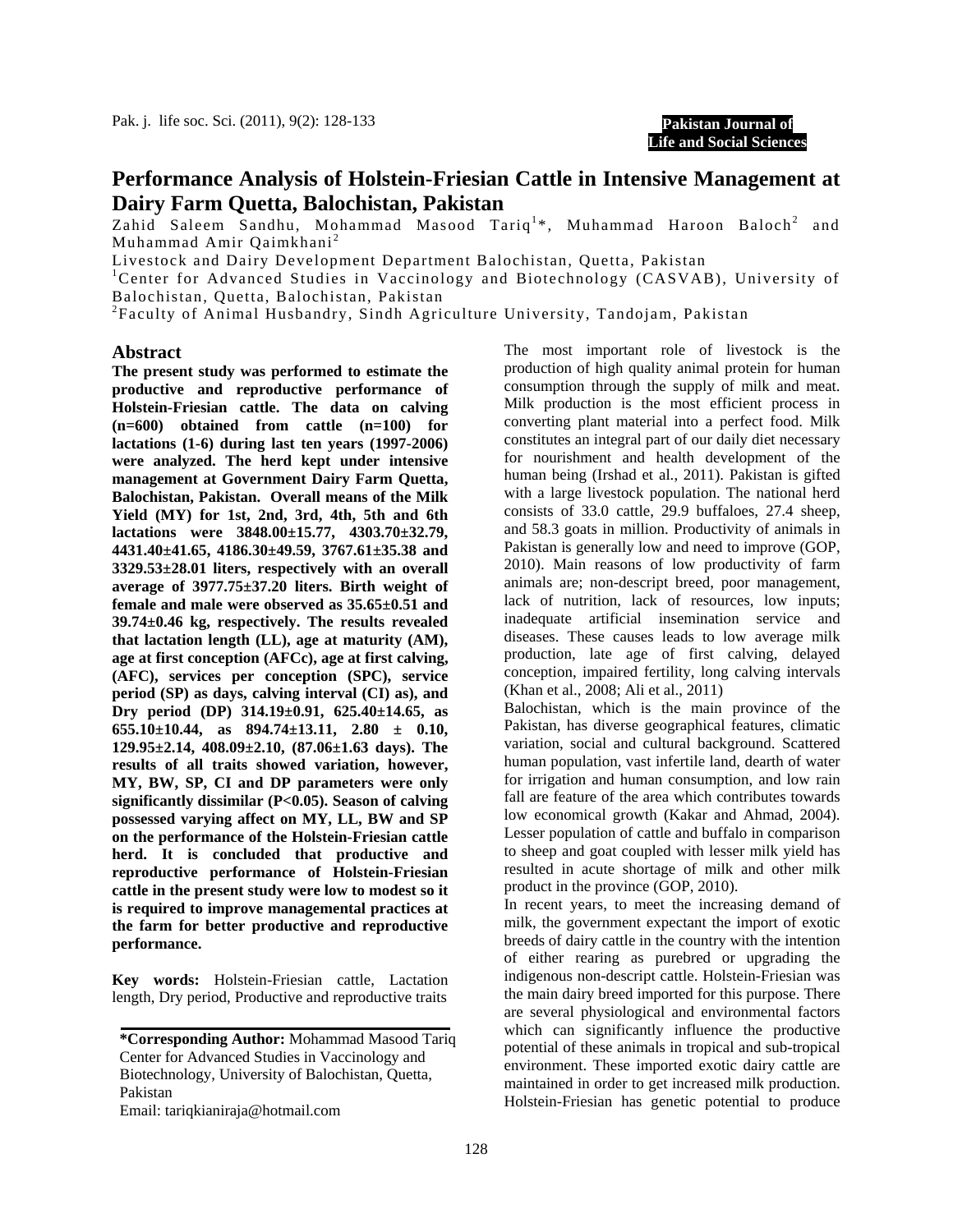

# **Performance Analysis of Holstein-Friesian Cattle in Intensive Management at Dairy Farm Quetta, Balochistan, Pakistan**

Zahid Saleem Sandhu, Mohammad Masood Tariq<sup>1</sup>\*, Muhammad Haroon Baloch<sup>2</sup> and Muhammad Amir Qaimkhani <sup>2</sup>

Livestock and Dairy Development Department Balochistan, Quetta, Pakistan 1

Center for Advanced Studies in Vaccinology and Biotechnology (CASVAB), University of Balochistan, Quetta, Balochistan, Pakistan

 $^{2}$ Faculty of Animal Husbandry, Sindh Agriculture University, Tandojam, Pakistan

#### **Abstract**

**The present study was performed to estimate the productive and reproductive performance of Holstein-Friesian cattle. The data on calving (n=600) obtained from cattle (n=100) for lactations (1-6) during last ten years (1997-2006) were analyzed. The herd kept under intensive management at Government Dairy Farm Quetta, Balochistan, Pakistan. Overall means of the Milk Yield (MY) for 1st, 2nd, 3rd, 4th, 5th and 6th lactations were 3848.00±15.77, 4303.70±32.79, 4431.40±41.65, 4186.30±49.59, 3767.61±35.38 and 3329.53±28.01 liters, respectively with an overall average of 3977.75±37.20 liters. Birth weight of female and male were observed as 35.65±0.51 and 39.74±0.46 kg, respectively. The results revealed that lactation length (LL), age at maturity (AM), age at first conception (AFCc), age at first calving, (AFC), services per conception (SPC), service period (SP) as days, calving interval (CI) as), and Dry period (DP) 314.19±0.91, 625.40±14.65, as 655.10±10.44, as 894.74±13.11, 2.80 ± 0.10, 129.95±2.14, 408.09±2.10, (87.06±1.63 days). The results of all traits showed variation, however, MY, BW, SP, CI and DP parameters were only significantly dissimilar (P<0.05). Season of calving possessed varying affect on MY, LL, BW and SP on the performance of the Holstein-Friesian cattle herd. It is concluded that productive and reproductive performance of Holstein-Friesian cattle in the present study were low to modest so it is required to improve managemental practices at the farm for better productive and reproductive performance.** 

**Key words:** Holstein-Friesian cattle, Lactation length, Dry period, Productive and reproductive traits

Email: tariqkianiraja@hotmail.com

The most important role of livestock is the production of high quality animal protein for human consumption through the supply of milk and meat. Milk production is the most efficient process in converting plant material into a perfect food. Milk constitutes an integral part of our daily diet necessary for nourishment and health development of the human being (Irshad et al., 2011). Pakistan is gifted with a large livestock population. The national herd consists of 33.0 cattle, 29.9 buffaloes, 27.4 sheep, and 58.3 goats in million. Productivity of animals in Pakistan is generally low and need to improve (GOP, 2010). Main reasons of low productivity of farm animals are; non-descript breed, poor management, lack of nutrition, lack of resources, low inputs; inadequate artificial insemination service and diseases. These causes leads to low average milk production, late age of first calving, delayed conception, impaired fertility, long calving intervals (Khan et al., 2008; Ali et al., 2011)

Balochistan, which is the main province of the Pakistan, has diverse geographical features, climatic variation, social and cultural background. Scattered human population, vast infertile land, dearth of water for irrigation and human consumption, and low rain fall are feature of the area which contributes towards low economical growth (Kakar and Ahmad, 2004). Lesser population of cattle and buffalo in comparison to sheep and goat coupled with lesser milk yield has resulted in acute shortage of milk and other milk product in the province (GOP, 2010).

In recent years, to meet the increasing demand of milk, the government expectant the import of exotic breeds of dairy cattle in the country with the intention of either rearing as purebred or upgrading the indigenous non-descript cattle. Holstein-Friesian was the main dairy breed imported for this purpose. There are several physiological and environmental factors which can significantly influence the productive potential of these animals in tropical and sub-tropical environment. These imported exotic dairy cattle are maintained in order to get increased milk production. Holstein-Friesian has genetic potential to produce

Pakistan **\*Corresponding Author:** Mohammad Masood Tariq Center for Advanced Studies in Vaccinology and Biotechnology, University of Balochistan, Quetta,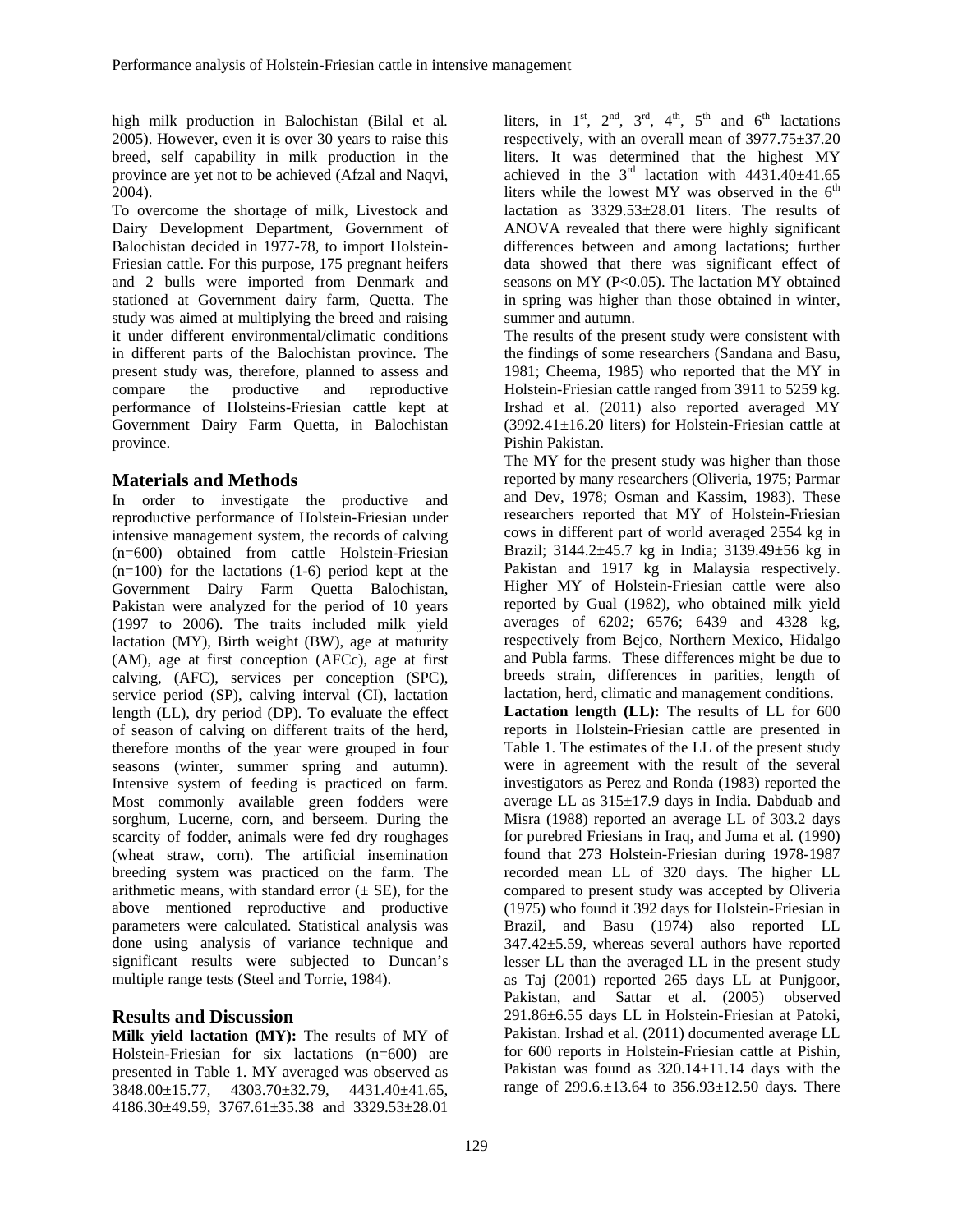high milk production in Balochistan (Bilal et al*.* 2005). However, even it is over 30 years to raise this breed, self capability in milk production in the province are yet not to be achieved (Afzal and Naqvi, 2004).

To overcome the shortage of milk, Livestock and Dairy Development Department, Government of Balochistan decided in 1977-78, to import Holstein-Friesian cattle. For this purpose, 175 pregnant heifers and 2 bulls were imported from Denmark and stationed at Government dairy farm, Quetta. The study was aimed at multiplying the breed and raising it under different environmental/climatic conditions in different parts of the Balochistan province. The present study was, therefore, planned to assess and compare the productive and reproductive performance of Holsteins-Friesian cattle kept at Government Dairy Farm Quetta, in Balochistan province.

## **Materials and Methods**

In order to investigate the productive and reproductive performance of Holstein-Friesian under intensive management system, the records of calving (n=600) obtained from cattle Holstein-Friesian  $(n=100)$  for the lactations  $(1-6)$  period kept at the Government Dairy Farm Quetta Balochistan, Pakistan were analyzed for the period of 10 years (1997 to 2006). The traits included milk yield lactation (MY), Birth weight (BW), age at maturity (AM), age at first conception (AFCc), age at first calving, (AFC), services per conception (SPC), service period (SP), calving interval (CI), lactation length (LL), dry period (DP). To evaluate the effect of season of calving on different traits of the herd, therefore months of the year were grouped in four seasons (winter, summer spring and autumn). Intensive system of feeding is practiced on farm. Most commonly available green fodders were sorghum, Lucerne, corn, and berseem. During the scarcity of fodder, animals were fed dry roughages (wheat straw, corn). The artificial insemination breeding system was practiced on the farm. The arithmetic means, with standard error  $(\pm \text{ SE})$ , for the above mentioned reproductive and productive parameters were calculated. Statistical analysis was done using analysis of variance technique and significant results were subjected to Duncan's multiple range tests (Steel and Torrie, 1984).

## **Results and Discussion**

**Milk yield lactation (MY):** The results of MY of Holstein-Friesian for six lactations (n=600) are presented in Table 1. MY averaged was observed as 3848.00±15.77, 4303.70±32.79, 4431.40±41.65, 4186.30±49.59, 3767.61±35.38 and 3329.53±28.01

liters, in  $1<sup>st</sup>$ ,  $2<sup>nd</sup>$ ,  $3<sup>rd</sup>$ ,  $4<sup>th</sup>$ ,  $5<sup>th</sup>$  and  $6<sup>th</sup>$  lactations respectively, with an overall mean of 3977.75±37.20 liters. It was determined that the highest MY achieved in the  $3<sup>rd</sup>$  lactation with  $4431.40 \pm 41.65$ liters while the lowest MY was observed in the  $6<sup>th</sup>$ lactation as 3329.53±28.01 liters. The results of ANOVA revealed that there were highly significant differences between and among lactations; further data showed that there was significant effect of seasons on MY (P<0.05). The lactation MY obtained in spring was higher than those obtained in winter, summer and autumn.

The results of the present study were consistent with the findings of some researchers (Sandana and Basu, 1981; Cheema, 1985) who reported that the MY in Holstein-Friesian cattle ranged from 3911 to 5259 kg. Irshad et al. (2011) also reported averaged MY (3992.41±16.20 liters) for Holstein-Friesian cattle at Pishin Pakistan.

The MY for the present study was higher than those reported by many researchers (Oliveria, 1975; Parmar and Dev, 1978; Osman and Kassim, 1983). These researchers reported that MY of Holstein-Friesian cows in different part of world averaged 2554 kg in Brazil; 3144.2±45.7 kg in India; 3139.49±56 kg in Pakistan and 1917 kg in Malaysia respectively. Higher MY of Holstein-Friesian cattle were also reported by Gual (1982), who obtained milk yield averages of 6202; 6576; 6439 and 4328 kg, respectively from Bejco, Northern Mexico, Hidalgo and Publa farms. These differences might be due to breeds strain, differences in parities, length of lactation, herd, climatic and management conditions. **Lactation length (LL):** The results of LL for 600 reports in Holstein-Friesian cattle are presented in Table 1. The estimates of the LL of the present study were in agreement with the result of the several investigators as Perez and Ronda (1983) reported the average LL as 315±17.9 days in India. Dabduab and Misra (1988) reported an average LL of 303.2 days for purebred Friesians in Iraq, and Juma et al*.* (1990) found that 273 Holstein-Friesian during 1978-1987 recorded mean LL of 320 days. The higher LL compared to present study was accepted by Oliveria (1975) who found it 392 days for Holstein-Friesian in Brazil, and Basu (1974) also reported LL 347.42±5.59, whereas several authors have reported lesser LL than the averaged LL in the present study as Taj (2001) reported 265 days LL at Punjgoor, Pakistan, and Sattar et al. (2005) observed 291.86±6.55 days LL in Holstein-Friesian at Patoki, Pakistan. Irshad et al*.* (2011) documented average LL for 600 reports in Holstein-Friesian cattle at Pishin, Pakistan was found as 320.14±11.14 days with the range of 299.6.±13.64 to 356.93±12.50 days. There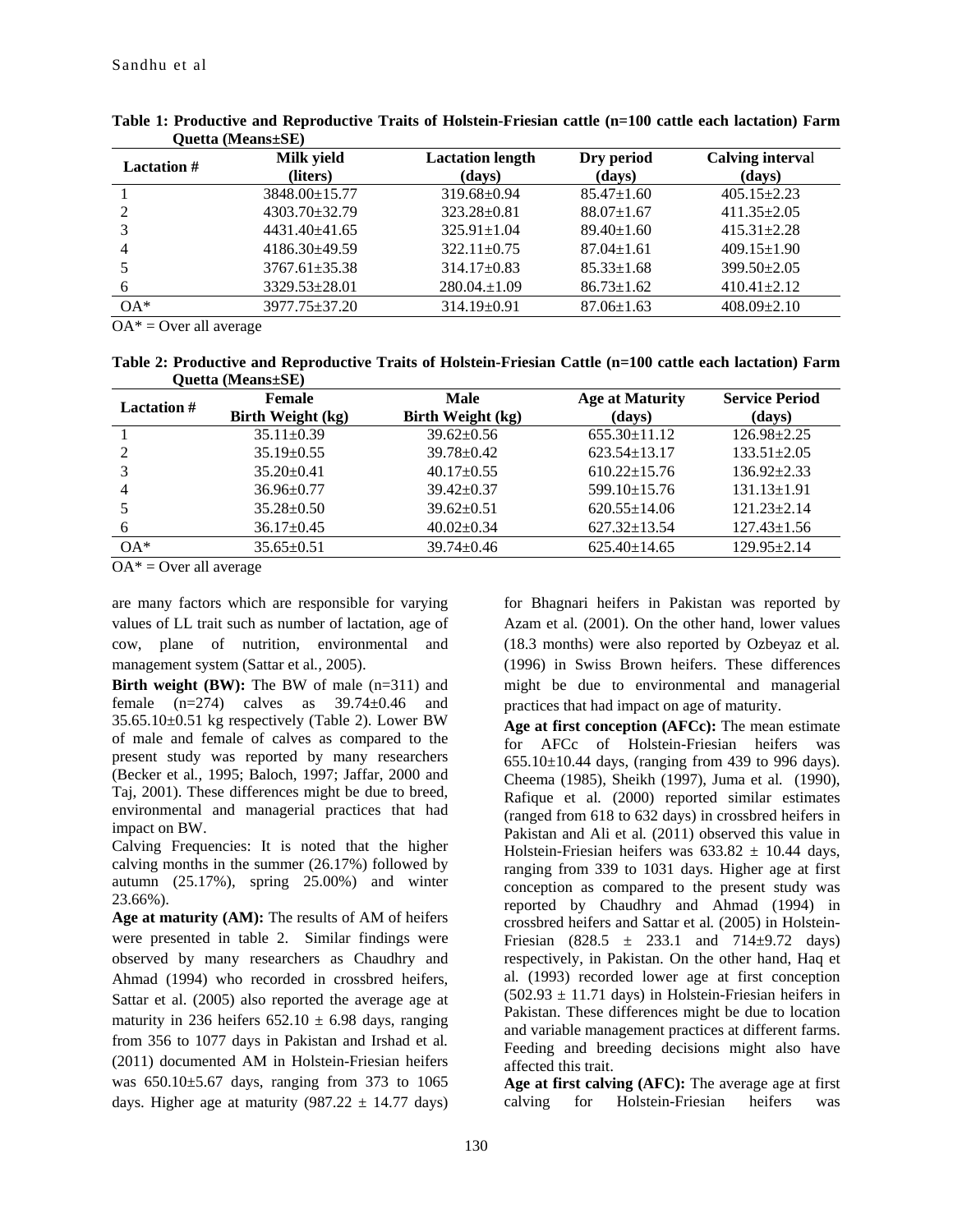| <b>Lactation</b> # | Milk yield<br>(liters) | <b>Lactation length</b><br>(days) | Dry period<br>(days) | Calving interval<br>(days) |
|--------------------|------------------------|-----------------------------------|----------------------|----------------------------|
|                    | 3848.00±15.77          | 319.68±0.94                       | $85.47 \pm 1.60$     | $405.15 \pm 2.23$          |
|                    | $4303.70 \pm 32.79$    | $323.28 \pm 0.81$                 | $88.07 \pm 1.67$     | $411.35 \pm 2.05$          |
|                    | 4431.40±41.65          | $325.91 \pm 1.04$                 | $89.40 \pm 1.60$     | $415.31 \pm 2.28$          |
| 4                  | $4186.30\pm49.59$      | $322.11 \pm 0.75$                 | $87.04 \pm 1.61$     | $409.15 \pm 1.90$          |
|                    | $3767.61 \pm 35.38$    | $314.17\pm0.83$                   | $85.33 \pm 1.68$     | $399.50 \pm 2.05$          |
| 6                  | 3329.53±28.01          | $280.04 \pm 1.09$                 | $86.73 \pm 1.62$     | $410.41 \pm 2.12$          |
| $OA*$              | 3977.75±37.20          | 314.19±0.91                       | $87.06 \pm 1.63$     | $408.09 \pm 2.10$          |

| Table 1: Productive and Reproductive Traits of Holstein-Friesian cattle (n=100 cattle each lactation) Farm |  |  |
|------------------------------------------------------------------------------------------------------------|--|--|
| <b>Ouetta</b> (Means $\pm$ SE)                                                                             |  |  |

 $OA^* = Over$  all average

**Table 2: Productive and Reproductive Traits of Holstein-Friesian Cattle (n=100 cattle each lactation) Farm Quetta (Means±SE)** 

| <b>Lactation</b> # | <b>Female</b><br>Birth Weight (kg) | Male<br>Birth Weight (kg) | <b>Age at Maturity</b><br>(days) | <b>Service Period</b><br>(days) |
|--------------------|------------------------------------|---------------------------|----------------------------------|---------------------------------|
|                    | $35.11 \pm 0.39$                   | $39.62 \pm 0.56$          | $655.30 \pm 11.12$               | $126.98 \pm 2.25$               |
|                    | $35.19 \pm 0.55$                   | $39.78 \pm 0.42$          | $623.54 \pm 13.17$               | $133.51 \pm 2.05$               |
|                    | $35.20 \pm 0.41$                   | $40.17 \pm 0.55$          | $610.22 \pm 15.76$               | $136.92 + 2.33$                 |
| 4                  | $36.96 \pm 0.77$                   | $39.42 \pm 0.37$          | $599.10 \pm 15.76$               | $131.13 \pm 1.91$               |
|                    | $35.28 \pm 0.50$                   | $39.62 \pm 0.51$          | $620.55 \pm 14.06$               | $121.23 \pm 2.14$               |
|                    | $36.17 \pm 0.45$                   | $40.02 \pm 0.34$          | $627.32 \pm 13.54$               | $127.43 \pm 1.56$               |
| $OA*$              | $35.65 \pm 0.51$                   | $39.74 \pm 0.46$          | $625.40 \pm 14.65$               | $129.95 + 2.14$                 |

 $OA^* = Over$  all average

are many factors which are responsible for varying values of LL trait such as number of lactation, age of cow, plane of nutrition, environmental and management system (Sattar et al*.,* 2005).

**Birth weight (BW):** The BW of male (n=311) and female  $(n=274)$  calves as  $39.74\pm0.46$  and 35.65.10±0.51 kg respectively (Table 2). Lower BW of male and female of calves as compared to the present study was reported by many researchers (Becker et al*.,* 1995; Baloch, 1997; Jaffar, 2000 and Taj, 2001). These differences might be due to breed, environmental and managerial practices that had impact on BW.

Calving Frequencies: It is noted that the higher calving months in the summer (26.17%) followed by autumn (25.17%), spring 25.00%) and winter 23.66%).

**Age at maturity (AM):** The results of AM of heifers were presented in table 2. Similar findings were observed by many researchers as Chaudhry and Ahmad (1994) who recorded in crossbred heifers, Sattar et al. (2005) also reported the average age at maturity in 236 heifers  $652.10 \pm 6.98$  days, ranging from 356 to 1077 days in Pakistan and Irshad et al*.* (2011) documented AM in Holstein-Friesian heifers was 650.10±5.67 days, ranging from 373 to 1065 days. Higher age at maturity (987.22  $\pm$  14.77 days) for Bhagnari heifers in Pakistan was reported by Azam et al*.* (2001). On the other hand, lower values (18.3 months) were also reported by Ozbeyaz et al*.* (1996) in Swiss Brown heifers. These differences might be due to environmental and managerial practices that had impact on age of maturity.

**Age at first conception (AFCc):** The mean estimate for AFCc of Holstein-Friesian heifers was  $655.10\pm10.44$  days, (ranging from 439 to 996 days). Cheema (1985), Sheikh (1997), Juma et al*.* (1990), Rafique et al*.* (2000) reported similar estimates (ranged from 618 to 632 days) in crossbred heifers in Pakistan and Ali et al*.* (2011) observed this value in Holstein-Friesian heifers was  $633.82 \pm 10.44$  days, ranging from 339 to 1031 days. Higher age at first conception as compared to the present study was reported by Chaudhry and Ahmad (1994) in crossbred heifers and Sattar et al*.* (2005) in Holstein-Friesian (828.5  $\pm$  233.1 and 714 $\pm$ 9.72 days) respectively, in Pakistan. On the other hand, Haq et al*.* (1993) recorded lower age at first conception  $(502.93 \pm 11.71 \text{ days})$  in Holstein-Friesian heifers in Pakistan. These differences might be due to location and variable management practices at different farms. Feeding and breeding decisions might also have affected this trait.

**Age at first calving (AFC):** The average age at first calving for Holstein-Friesian heifers was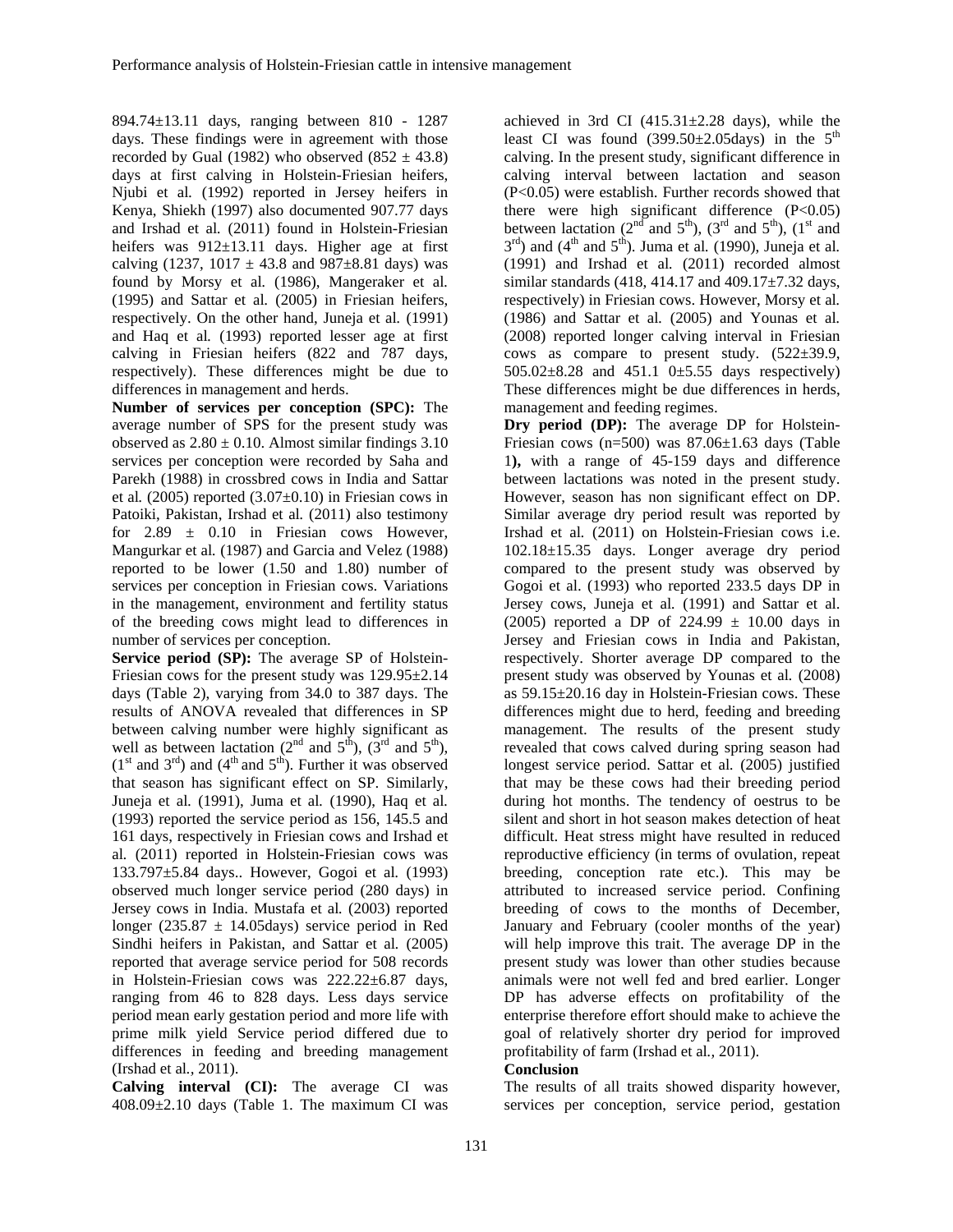894.74±13.11 days, ranging between 810 - 1287 days. These findings were in agreement with those recorded by Gual (1982) who observed  $(852 \pm 43.8)$ days at first calving in Holstein-Friesian heifers, Njubi et al*.* (1992) reported in Jersey heifers in Kenya, Shiekh (1997) also documented 907.77 days and Irshad et al*.* (2011) found in Holstein-Friesian heifers was 912±13.11 days. Higher age at first calving (1237, 1017  $\pm$  43.8 and 987 $\pm$ 8.81 days) was found by Morsy et al*.* (1986), Mangeraker et al*.* (1995) and Sattar et al*.* (2005) in Friesian heifers, respectively. On the other hand, Juneja et al*.* (1991) and Haq et al*.* (1993) reported lesser age at first calving in Friesian heifers (822 and 787 days, respectively). These differences might be due to differences in management and herds.

**Number of services per conception (SPC):** The average number of SPS for the present study was observed as  $2.80 \pm 0.10$ . Almost similar findings 3.10 services per conception were recorded by Saha and Parekh (1988) in crossbred cows in India and Sattar et al*.* (2005) reported (3.07±0.10) in Friesian cows in Patoiki, Pakistan, Irshad et al*.* (2011) also testimony for  $2.89 \pm 0.10$  in Friesian cows However, Mangurkar et al*.* (1987) and Garcia and Velez (1988) reported to be lower (1.50 and 1.80) number of services per conception in Friesian cows. Variations in the management, environment and fertility status of the breeding cows might lead to differences in number of services per conception.

**Service period (SP):** The average SP of Holstein-Friesian cows for the present study was 129.95±2.14 days (Table 2), varying from 34.0 to 387 days. The results of ANOVA revealed that differences in SP between calving number were highly significant as well as between lactation  $(2<sup>nd</sup>$  and  $5<sup>th</sup>$ ),  $(3<sup>rd</sup>$  and  $5<sup>th</sup>$ ), (1<sup>st</sup> and 3<sup>rd</sup>) and (4<sup>th</sup> and 5<sup>th</sup>). Further it was observed that season has significant effect on SP. Similarly, Juneja et al*.* (1991), Juma et al*.* (1990), Haq et al*.* (1993) reported the service period as 156, 145.5 and 161 days, respectively in Friesian cows and Irshad et al*.* (2011) reported in Holstein-Friesian cows was 133.797±5.84 days.. However, Gogoi et al*.* (1993) observed much longer service period (280 days) in Jersey cows in India. Mustafa et al*.* (2003) reported longer (235.87  $\pm$  14.05days) service period in Red Sindhi heifers in Pakistan, and Sattar et al*.* (2005) reported that average service period for 508 records in Holstein-Friesian cows was 222.22±6.87 days, ranging from 46 to 828 days. Less days service period mean early gestation period and more life with prime milk yield Service period differed due to differences in feeding and breeding management (Irshad et al*.,* 2011).

**Calving interval (CI):** The average CI was 408.09±2.10 days (Table 1. The maximum CI was

achieved in 3rd CI  $(415.31 \pm 2.28$  days), while the least CI was found  $(399.50 \pm 2.05 \text{days})$  in the  $5^{\text{th}}$ calving. In the present study, significant difference in calving interval between lactation and season (P<0.05) were establish. Further records showed that there were high significant difference  $(P<0.05)$ between lactation ( $2<sup>nd</sup>$  and  $5<sup>th</sup>$ ), ( $3<sup>rd</sup>$  and  $5<sup>th</sup>$ ), ( $1<sup>st</sup>$  and  $3<sup>rd</sup>$ ) and (4<sup>th</sup> and  $5<sup>th</sup>$ ). Juma et al. (1990), Juneja et al. (1991) and Irshad et al*.* (2011) recorded almost similar standards (418, 414.17 and 409.17±7.32 days, respectively) in Friesian cows. However, Morsy et al*.* (1986) and Sattar et al*.* (2005) and Younas et al*.* (2008) reported longer calving interval in Friesian cows as compare to present study. (522±39.9, 505.02±8.28 and 451.1 0±5.55 days respectively) These differences might be due differences in herds, management and feeding regimes.

**Dry period (DP):** The average DP for Holstein-Friesian cows (n=500) was 87.06±1.63 days (Table 1**),** with a range of 45-159 days and difference between lactations was noted in the present study. However, season has non significant effect on DP. Similar average dry period result was reported by Irshad et al*.* (2011) on Holstein-Friesian cows i.e. 102.18±15.35 days. Longer average dry period compared to the present study was observed by Gogoi et al. (1993) who reported 233.5 days DP in Jersey cows, Juneja et al*.* (1991) and Sattar et al. (2005) reported a DP of  $224.99 \pm 10.00$  days in Jersey and Friesian cows in India and Pakistan, respectively. Shorter average DP compared to the present study was observed by Younas et al*.* (2008) as 59.15±20.16 day in Holstein-Friesian cows. These differences might due to herd, feeding and breeding management. The results of the present study revealed that cows calved during spring season had longest service period. Sattar et al*.* (2005) justified that may be these cows had their breeding period during hot months. The tendency of oestrus to be silent and short in hot season makes detection of heat difficult. Heat stress might have resulted in reduced reproductive efficiency (in terms of ovulation, repeat breeding, conception rate etc.). This may be attributed to increased service period. Confining breeding of cows to the months of December, January and February (cooler months of the year) will help improve this trait. The average DP in the present study was lower than other studies because animals were not well fed and bred earlier. Longer DP has adverse effects on profitability of the enterprise therefore effort should make to achieve the goal of relatively shorter dry period for improved profitability of farm (Irshad et al*.,* 2011).

### **Conclusion**

The results of all traits showed disparity however, services per conception, service period, gestation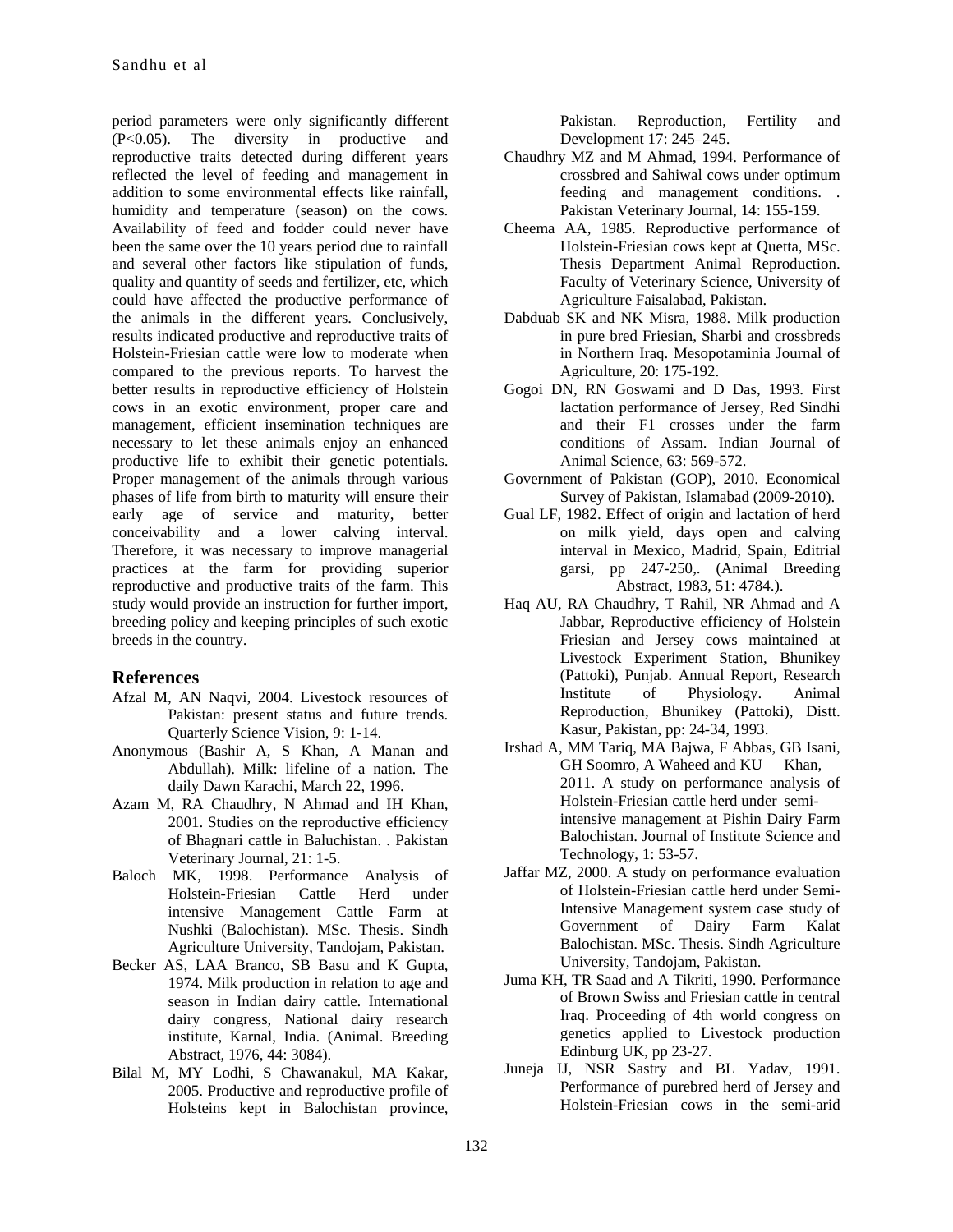period parameters were only significantly different (P<0.05). The diversity in productive and reproductive traits detected during different years reflected the level of feeding and management in addition to some environmental effects like rainfall, humidity and temperature (season) on the cows. Availability of feed and fodder could never have been the same over the 10 years period due to rainfall and several other factors like stipulation of funds, quality and quantity of seeds and fertilizer, etc, which could have affected the productive performance of the animals in the different years. Conclusively, results indicated productive and reproductive traits of Holstein-Friesian cattle were low to moderate when compared to the previous reports. To harvest the better results in reproductive efficiency of Holstein cows in an exotic environment, proper care and management, efficient insemination techniques are necessary to let these animals enjoy an enhanced productive life to exhibit their genetic potentials. Proper management of the animals through various phases of life from birth to maturity will ensure their early age of service and maturity, better conceivability and a lower calving interval. Therefore, it was necessary to improve managerial practices at the farm for providing superior reproductive and productive traits of the farm. This study would provide an instruction for further import, breeding policy and keeping principles of such exotic breeds in the country.

## **References**

- Afzal M, AN Naqvi, 2004. Livestock resources of Pakistan: present status and future trends. Quarterly Science Vision, 9: 1-14.
- Anonymous (Bashir A, S Khan, A Manan and Abdullah). Milk: lifeline of a nation. The daily Dawn Karachi, March 22, 1996.
- Azam M, RA Chaudhry, N Ahmad and IH Khan, 2001. Studies on the reproductive efficiency of Bhagnari cattle in Baluchistan. . Pakistan Veterinary Journal, 21: 1-5.
- Baloch MK, 1998. Performance Analysis of Holstein-Friesian Cattle Herd under intensive Management Cattle Farm at Nushki (Balochistan). MSc. Thesis. Sindh Agriculture University, Tandojam, Pakistan.
- Becker AS, LAA Branco, SB Basu and K Gupta, 1974. Milk production in relation to age and season in Indian dairy cattle. International dairy congress, National dairy research institute, Karnal, India. (Animal. Breeding Abstract, 1976, 44: 3084).
- Bilal M, MY Lodhi, S Chawanakul, MA Kakar, 2005. Productive and reproductive profile of Holsteins kept in Balochistan province,

Pakistan. Reproduction, Fertility and Development 17: 245–245.

- Chaudhry MZ and M Ahmad, 1994. Performance of crossbred and Sahiwal cows under optimum feeding and management conditions. . Pakistan Veterinary Journal, 14: 155-159.
- Cheema AA, 1985. Reproductive performance of Holstein-Friesian cows kept at Quetta, MSc. Thesis Department Animal Reproduction. Faculty of Veterinary Science, University of Agriculture Faisalabad, Pakistan.
- Dabduab SK and NK Misra, 1988. Milk production in pure bred Friesian, Sharbi and crossbreds in Northern Iraq. Mesopotaminia Journal of Agriculture, 20: 175-192.
- Gogoi DN, RN Goswami and D Das, 1993. First lactation performance of Jersey, Red Sindhi and their F1 crosses under the farm conditions of Assam. Indian Journal of Animal Science, 63: 569-572.
- Government of Pakistan (GOP), 2010. Economical Survey of Pakistan, Islamabad (2009-2010).
- Gual LF, 1982. Effect of origin and lactation of herd on milk yield, days open and calving interval in Mexico, Madrid, Spain, Editrial garsi, pp 247-250,. (Animal Breeding Abstract, 1983, 51: 4784.).
- Haq AU, RA Chaudhry, T Rahil, NR Ahmad and A Jabbar, Reproductive efficiency of Holstein Friesian and Jersey cows maintained at Livestock Experiment Station, Bhunikey (Pattoki), Punjab. Annual Report, Research Institute of Physiology. Animal Reproduction, Bhunikey (Pattoki), Distt. Kasur, Pakistan, pp: 24-34, 1993.
- Irshad A, MM Tariq, MA Bajwa, F Abbas, GB Isani, GH Soomro, A Waheed and KU Khan, 2011. A study on performance analysis of Holstein-Friesian cattle herd under semiintensive management at Pishin Dairy Farm Balochistan. Journal of Institute Science and Technology, 1: 53-57.
- Jaffar MZ, 2000. A study on performance evaluation of Holstein-Friesian cattle herd under Semi-Intensive Management system case study of Government of Dairy Farm Kalat Balochistan. MSc. Thesis. Sindh Agriculture University, Tandojam, Pakistan.
- Juma KH, TR Saad and A Tikriti, 1990. Performance of Brown Swiss and Friesian cattle in central Iraq. Proceeding of 4th world congress on genetics applied to Livestock production Edinburg UK, pp 23-27.
- Juneja IJ, NSR Sastry and BL Yadav, 1991. Performance of purebred herd of Jersey and Holstein-Friesian cows in the semi-arid